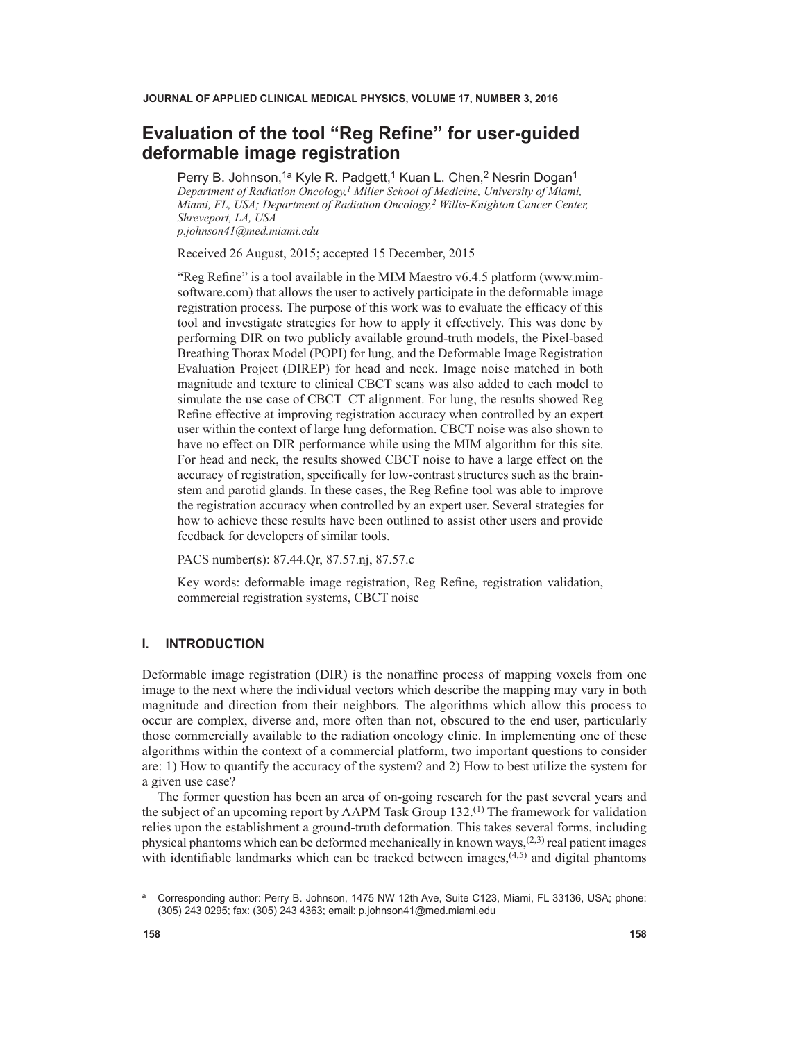**JOURNAL OF APPLIED CLINICAL MEDICAL PHYSICS, VOLUME 17, NUMBER 3, 2016**

# **Evaluation of the tool "Reg Refine" for user-guided deformable image registration**

Perry B. Johnson,<sup>1a</sup> Kyle R. Padgett,<sup>1</sup> Kuan L. Chen,<sup>2</sup> Nesrin Dogan<sup>1</sup> *Department of Radiation Oncology,1 Miller School of Medicine, University of Miami, Miami, FL, USA; Department of Radiation Oncology,2 Willis-Knighton Cancer Center, Shreveport, LA, USA [p.johnson41@med.miami.edu](mailto:p.johnson41@med.miami.edu)*

Received 26 August, 2015; accepted 15 December, 2015

"Reg Refine" is a tool available in the MIM Maestro v6.4.5 platform ([www.mim](http://www.mimsoftware.com)[software.com](http://www.mimsoftware.com)) that allows the user to actively participate in the deformable image registration process. The purpose of this work was to evaluate the efficacy of this tool and investigate strategies for how to apply it effectively. This was done by performing DIR on two publicly available ground-truth models, the Pixel-based Breathing Thorax Model (POPI) for lung, and the Deformable Image Registration Evaluation Project (DIREP) for head and neck. Image noise matched in both magnitude and texture to clinical CBCT scans was also added to each model to simulate the use case of CBCT–CT alignment. For lung, the results showed Reg Refine effective at improving registration accuracy when controlled by an expert user within the context of large lung deformation. CBCT noise was also shown to have no effect on DIR performance while using the MIM algorithm for this site. For head and neck, the results showed CBCT noise to have a large effect on the accuracy of registration, specifically for low-contrast structures such as the brainstem and parotid glands. In these cases, the Reg Refine tool was able to improve the registration accuracy when controlled by an expert user. Several strategies for how to achieve these results have been outlined to assist other users and provide feedback for developers of similar tools.

PACS number(s): 87.44.Qr, 87.57.nj, 87.57.c

Key words: deformable image registration, Reg Refine, registration validation, commercial registration systems, CBCT noise

# **I. INTRODUCTION**

Deformable image registration (DIR) is the nonaffine process of mapping voxels from one image to the next where the individual vectors which describe the mapping may vary in both magnitude and direction from their neighbors. The algorithms which allow this process to occur are complex, diverse and, more often than not, obscured to the end user, particularly those commercially available to the radiation oncology clinic. In implementing one of these algorithms within the context of a commercial platform, two important questions to consider are: 1) How to quantify the accuracy of the system? and 2) How to best utilize the system for a given use case?

The former question has been an area of on-going research for the past several years and the subject of an upcoming report by AAPM Task Group  $132$ .<sup>(1)</sup> The framework for validation relies upon the establishment a ground-truth deformation. This takes several forms, including physical phantoms which can be deformed mechanically in known ways,  $(2,3)$  real patient images with identifiable landmarks which can be tracked between images, $(4,5)$  and digital phantoms

a Corresponding author: Perry B. Johnson, 1475 NW 12th Ave, Suite C123, Miami, FL 33136, USA; phone: (305) 243 0295; fax: (305) 243 4363; email: [p.johnson41@med.miami.edu](mailto:p.johnson41@med.miami.edu)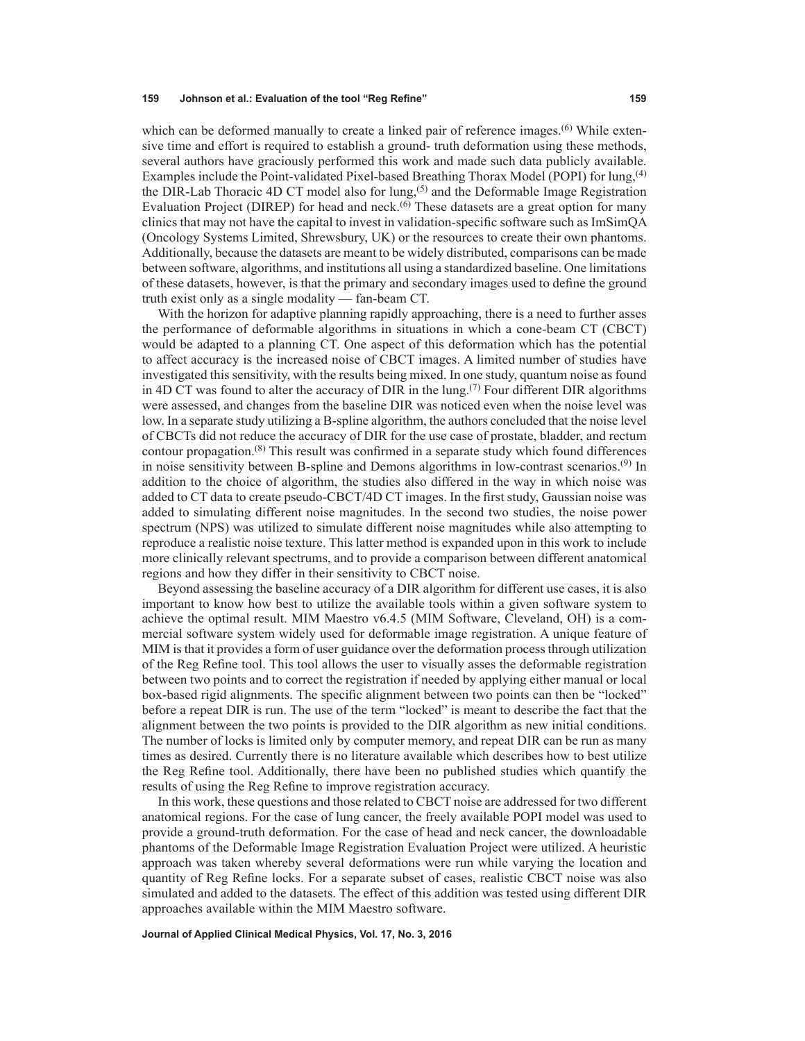which can be deformed manually to create a linked pair of reference images.<sup>(6)</sup> While extensive time and effort is required to establish a ground- truth deformation using these methods, several authors have graciously performed this work and made such data publicly available. Examples include the Point-validated Pixel-based Breathing Thorax Model (POPI) for lung,<sup>(4)</sup> the DIR-Lab Thoracic 4D CT model also for lung,<sup> $(5)$ </sup> and the Deformable Image Registration Evaluation Project (DIREP) for head and neck.<sup> $(6)$ </sup> These datasets are a great option for many clinics that may not have the capital to invest in validation-specific software such as ImSimQA (Oncology Systems Limited, Shrewsbury, UK) or the resources to create their own phantoms. Additionally, because the datasets are meant to be widely distributed, comparisons can be made between software, algorithms, and institutions all using a standardized baseline. One limitations of these datasets, however, is that the primary and secondary images used to define the ground truth exist only as a single modality — fan-beam CT.

With the horizon for adaptive planning rapidly approaching, there is a need to further asses the performance of deformable algorithms in situations in which a cone-beam CT (CBCT) would be adapted to a planning CT. One aspect of this deformation which has the potential to affect accuracy is the increased noise of CBCT images. A limited number of studies have investigated this sensitivity, with the results being mixed. In one study, quantum noise as found in 4D CT was found to alter the accuracy of DIR in the lung.<sup>(7)</sup> Four different DIR algorithms were assessed, and changes from the baseline DIR was noticed even when the noise level was low. In a separate study utilizing a B-spline algorithm, the authors concluded that the noise level of CBCTs did not reduce the accuracy of DIR for the use case of prostate, bladder, and rectum contour propagation.(8) This result was confirmed in a separate study which found differences in noise sensitivity between B-spline and Demons algorithms in low-contrast scenarios.<sup>(9)</sup> In addition to the choice of algorithm, the studies also differed in the way in which noise was added to CT data to create pseudo-CBCT/4D CT images. In the first study, Gaussian noise was added to simulating different noise magnitudes. In the second two studies, the noise power spectrum (NPS) was utilized to simulate different noise magnitudes while also attempting to reproduce a realistic noise texture. This latter method is expanded upon in this work to include more clinically relevant spectrums, and to provide a comparison between different anatomical regions and how they differ in their sensitivity to CBCT noise.

Beyond assessing the baseline accuracy of a DIR algorithm for different use cases, it is also important to know how best to utilize the available tools within a given software system to achieve the optimal result. MIM Maestro v6.4.5 (MIM Software, Cleveland, OH) is a commercial software system widely used for deformable image registration. A unique feature of MIM is that it provides a form of user guidance over the deformation process through utilization of the Reg Refine tool. This tool allows the user to visually asses the deformable registration between two points and to correct the registration if needed by applying either manual or local box-based rigid alignments. The specific alignment between two points can then be "locked" before a repeat DIR is run. The use of the term "locked" is meant to describe the fact that the alignment between the two points is provided to the DIR algorithm as new initial conditions. The number of locks is limited only by computer memory, and repeat DIR can be run as many times as desired. Currently there is no literature available which describes how to best utilize the Reg Refine tool. Additionally, there have been no published studies which quantify the results of using the Reg Refine to improve registration accuracy.

In this work, these questions and those related to CBCT noise are addressed for two different anatomical regions. For the case of lung cancer, the freely available POPI model was used to provide a ground-truth deformation. For the case of head and neck cancer, the downloadable phantoms of the Deformable Image Registration Evaluation Project were utilized. A heuristic approach was taken whereby several deformations were run while varying the location and quantity of Reg Refine locks. For a separate subset of cases, realistic CBCT noise was also simulated and added to the datasets. The effect of this addition was tested using different DIR approaches available within the MIM Maestro software.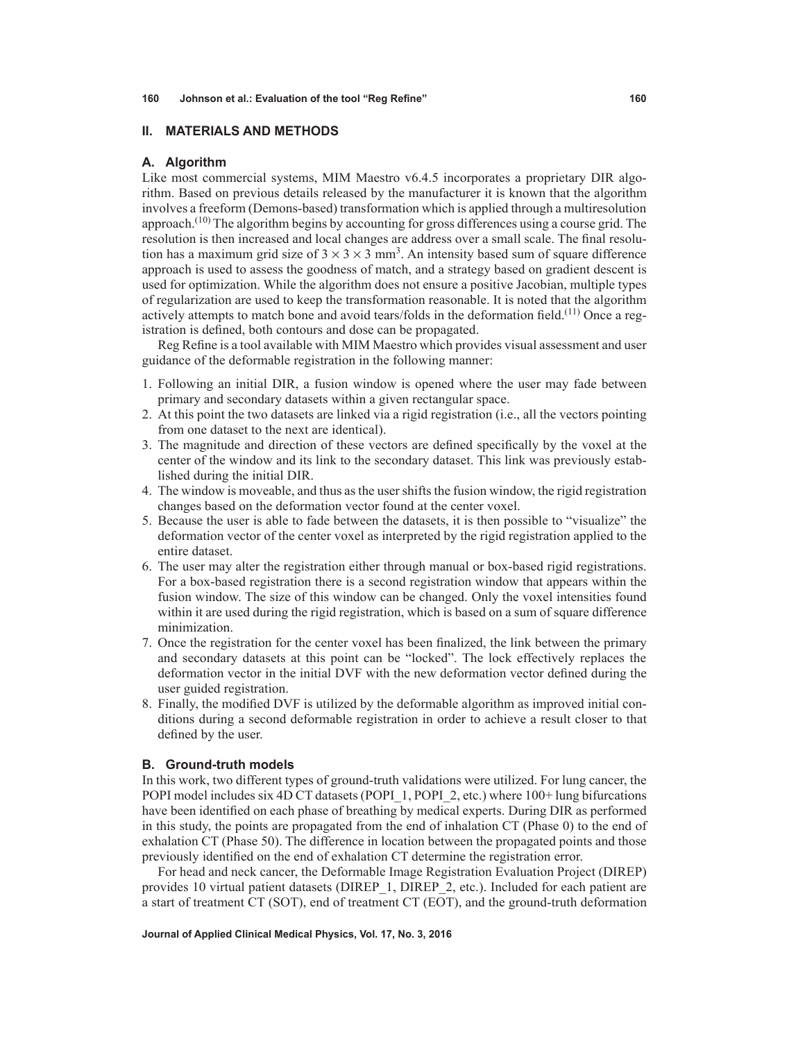# **II. MATERIALS AND METHODS**

#### **A. Algorithm**

Like most commercial systems, MIM Maestro v6.4.5 incorporates a proprietary DIR algorithm. Based on previous details released by the manufacturer it is known that the algorithm involves a freeform (Demons-based) transformation which is applied through a multiresolution approach.<sup> $(10)$ </sup> The algorithm begins by accounting for gross differences using a course grid. The resolution is then increased and local changes are address over a small scale. The final resolution has a maximum grid size of  $3 \times 3 \times 3$  mm<sup>3</sup>. An intensity based sum of square difference approach is used to assess the goodness of match, and a strategy based on gradient descent is used for optimization. While the algorithm does not ensure a positive Jacobian, multiple types of regularization are used to keep the transformation reasonable. It is noted that the algorithm actively attempts to match bone and avoid tears/folds in the deformation field.<sup> $(11)$ </sup> Once a registration is defined, both contours and dose can be propagated.

Reg Refine is a tool available with MIM Maestro which provides visual assessment and user guidance of the deformable registration in the following manner:

- 1. Following an initial DIR, a fusion window is opened where the user may fade between primary and secondary datasets within a given rectangular space.
- 2. At this point the two datasets are linked via a rigid registration (i.e., all the vectors pointing from one dataset to the next are identical).
- 3. The magnitude and direction of these vectors are defined specifically by the voxel at the center of the window and its link to the secondary dataset. This link was previously established during the initial DIR.
- 4. The window is moveable, and thus as the user shifts the fusion window, the rigid registration changes based on the deformation vector found at the center voxel.
- 5. Because the user is able to fade between the datasets, it is then possible to "visualize" the deformation vector of the center voxel as interpreted by the rigid registration applied to the entire dataset.
- 6. The user may alter the registration either through manual or box-based rigid registrations. For a box-based registration there is a second registration window that appears within the fusion window. The size of this window can be changed. Only the voxel intensities found within it are used during the rigid registration, which is based on a sum of square difference minimization.
- 7. Once the registration for the center voxel has been finalized, the link between the primary and secondary datasets at this point can be "locked". The lock effectively replaces the deformation vector in the initial DVF with the new deformation vector defined during the user guided registration.
- 8. Finally, the modified DVF is utilized by the deformable algorithm as improved initial conditions during a second deformable registration in order to achieve a result closer to that defined by the user.

### **B. Ground-truth models**

In this work, two different types of ground-truth validations were utilized. For lung cancer, the POPI model includes six 4D CT datasets (POPI\_1, POPI\_2, etc.) where 100+ lung bifurcations have been identified on each phase of breathing by medical experts. During DIR as performed in this study, the points are propagated from the end of inhalation CT (Phase 0) to the end of exhalation CT (Phase 50). The difference in location between the propagated points and those previously identified on the end of exhalation CT determine the registration error.

For head and neck cancer, the Deformable Image Registration Evaluation Project (DIREP) provides 10 virtual patient datasets (DIREP\_1, DIREP\_2, etc.). Included for each patient are a start of treatment CT (SOT), end of treatment CT (EOT), and the ground-truth deformation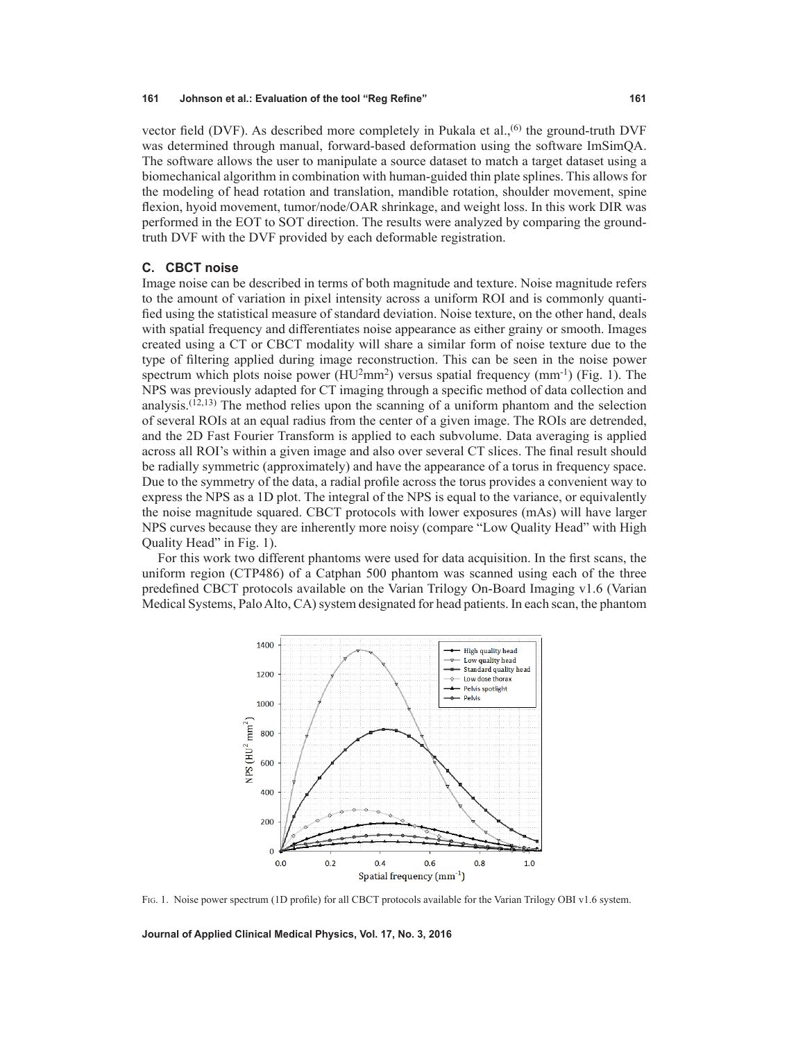vector field (DVF). As described more completely in Pukala et al.,<sup>(6)</sup> the ground-truth DVF was determined through manual, forward-based deformation using the software ImSimQA. The software allows the user to manipulate a source dataset to match a target dataset using a biomechanical algorithm in combination with human-guided thin plate splines. This allows for the modeling of head rotation and translation, mandible rotation, shoulder movement, spine flexion, hyoid movement, tumor/node/OAR shrinkage, and weight loss. In this work DIR was performed in the EOT to SOT direction. The results were analyzed by comparing the groundtruth DVF with the DVF provided by each deformable registration.

# **C. CBCT noise**

Image noise can be described in terms of both magnitude and texture. Noise magnitude refers to the amount of variation in pixel intensity across a uniform ROI and is commonly quantified using the statistical measure of standard deviation. Noise texture, on the other hand, deals with spatial frequency and differentiates noise appearance as either grainy or smooth. Images created using a CT or CBCT modality will share a similar form of noise texture due to the type of filtering applied during image reconstruction. This can be seen in the noise power spectrum which plots noise power  $(HU^2mm^2)$  versus spatial frequency  $(mm^{-1})$  (Fig. 1). The NPS was previously adapted for CT imaging through a specific method of data collection and analysis.<sup> $(12,13)$ </sup> The method relies upon the scanning of a uniform phantom and the selection of several ROIs at an equal radius from the center of a given image. The ROIs are detrended, and the 2D Fast Fourier Transform is applied to each subvolume. Data averaging is applied across all ROI's within a given image and also over several CT slices. The final result should be radially symmetric (approximately) and have the appearance of a torus in frequency space. Due to the symmetry of the data, a radial profile across the torus provides a convenient way to express the NPS as a 1D plot. The integral of the NPS is equal to the variance, or equivalently the noise magnitude squared. CBCT protocols with lower exposures (mAs) will have larger NPS curves because they are inherently more noisy (compare "Low Quality Head" with High Quality Head" in Fig. 1).

For this work two different phantoms were used for data acquisition. In the first scans, the uniform region (CTP486) of a Catphan 500 phantom was scanned using each of the three predefined CBCT protocols available on the Varian Trilogy On-Board Imaging v1.6 (Varian Medical Systems, Palo Alto, CA) system designated for head patients. In each scan, the phantom



Fig. 1. Noise power spectrum (1D profile) for all CBCT protocols available for the Varian Trilogy OBI v1.6 system.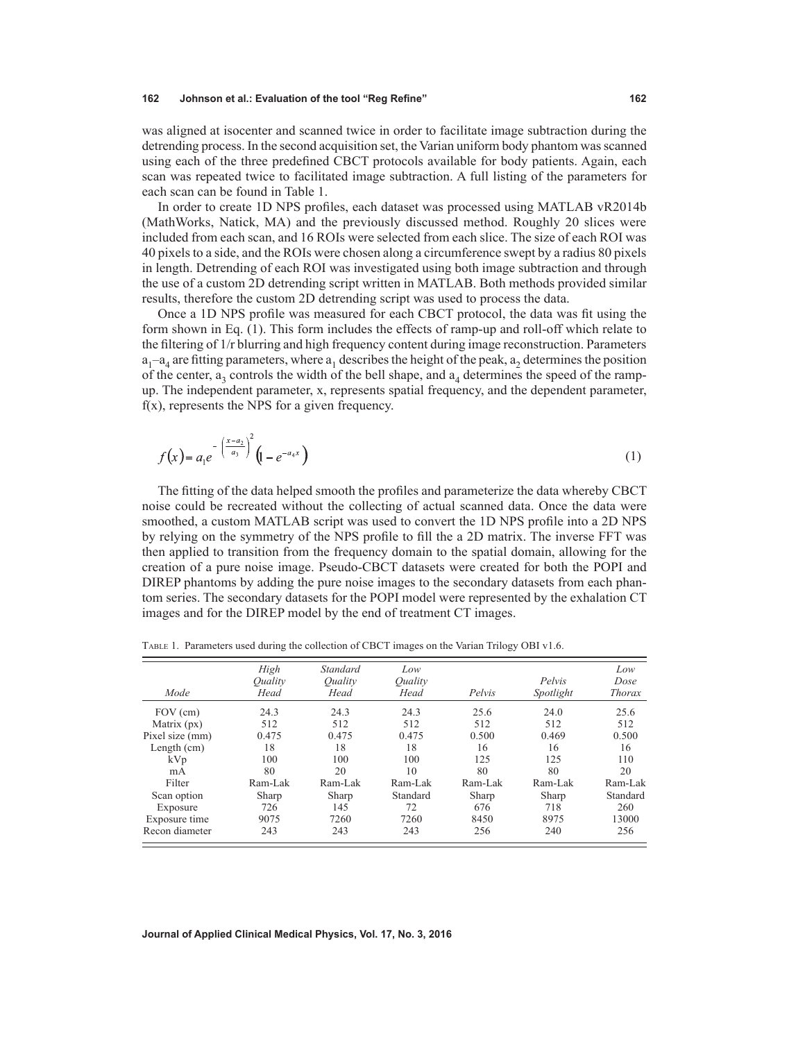was aligned at isocenter and scanned twice in order to facilitate image subtraction during the detrending process. In the second acquisition set, the Varian uniform body phantom was scanned using each of the three predefined CBCT protocols available for body patients. Again, each scan was repeated twice to facilitated image subtraction. A full listing of the parameters for each scan can be found in Table 1.

In order to create 1D NPS profiles, each dataset was processed using MATLAB vR2014b (MathWorks, Natick, MA) and the previously discussed method. Roughly 20 slices were included from each scan, and 16 ROIs were selected from each slice. The size of each ROI was 40 pixels to a side, and the ROIs were chosen along a circumference swept by a radius 80 pixels in length. Detrending of each ROI was investigated using both image subtraction and through the use of a custom 2D detrending script written in MATLAB. Both methods provided similar results, therefore the custom 2D detrending script was used to process the data.

Once a 1D NPS profile was measured for each CBCT protocol, the data was fit using the form shown in Eq. (1). This form includes the effects of ramp-up and roll-off which relate to the filtering of 1/r blurring and high frequency content during image reconstruction. Parameters  $a_1$ – $a_4$  are fitting parameters, where  $a_1$  describes the height of the peak,  $a_2$  determines the position of the center,  $a_3$  controls the width of the bell shape, and  $a_4$  determines the speed of the rampup. The independent parameter, x, represents spatial frequency, and the dependent parameter,  $f(x)$ , represents the NPS for a given frequency.

$$
f(x) = a_1 e^{-\left(\frac{x-a_2}{a_3}\right)^2} \left(1 - e^{-a_4 x}\right)
$$
\n
$$
(1)
$$

The fitting of the data helped smooth the profiles and parameterize the data whereby CBCT noise could be recreated without the collecting of actual scanned data. Once the data were smoothed, a custom MATLAB script was used to convert the 1D NPS profile into a 2D NPS by relying on the symmetry of the NPS profile to fill the a 2D matrix. The inverse FFT was then applied to transition from the frequency domain to the spatial domain, allowing for the creation of a pure noise image. Pseudo-CBCT datasets were created for both the POPI and DIREP phantoms by adding the pure noise images to the secondary datasets from each phantom series. The secondary datasets for the POPI model were represented by the exhalation CT images and for the DIREP model by the end of treatment CT images.

| Mode            | High<br>Ouality<br>Head | Standard<br>Ouality<br>Head | Low<br>Ouality<br>Head | Pelvis  | Pelvis<br>Spotlight | Low<br>Dose<br><i>Thorax</i> |
|-----------------|-------------------------|-----------------------------|------------------------|---------|---------------------|------------------------------|
| $FOV$ (cm)      | 24.3                    | 24.3                        | 24.3                   | 25.6    | 24.0                | 25.6                         |
| Matrix (px)     | 512                     | 512                         | 512                    | 512     | 512                 | 512                          |
| Pixel size (mm) | 0.475                   | 0.475                       | 0.475                  | 0.500   | 0.469               | 0.500                        |
| Length $(cm)$   | 18                      | 18                          | 18                     | 16      | 16                  | 16                           |
| kVp             | 100                     | 100                         | 100                    | 125     | 125                 | 110                          |
| mA              | 80                      | 20                          | 10                     | 80      | 80                  | 20                           |
| Filter          | Ram-Lak                 | Ram-Lak                     | Ram-Lak                | Ram-Lak | Ram-Lak             | Ram-Lak                      |
| Scan option     | Sharp                   | Sharp                       | Standard               | Sharp   | Sharp               | Standard                     |
| Exposure        | 726                     | 145                         | 72                     | 676     | 718                 | 260                          |
| Exposure time   | 9075                    | 7260                        | 7260                   | 8450    | 8975                | 13000                        |
| Recon diameter  | 243                     | 243                         | 243                    | 256     | 240                 | 256                          |

Table 1. Parameters used during the collection of CBCT images on the Varian Trilogy OBI v1.6.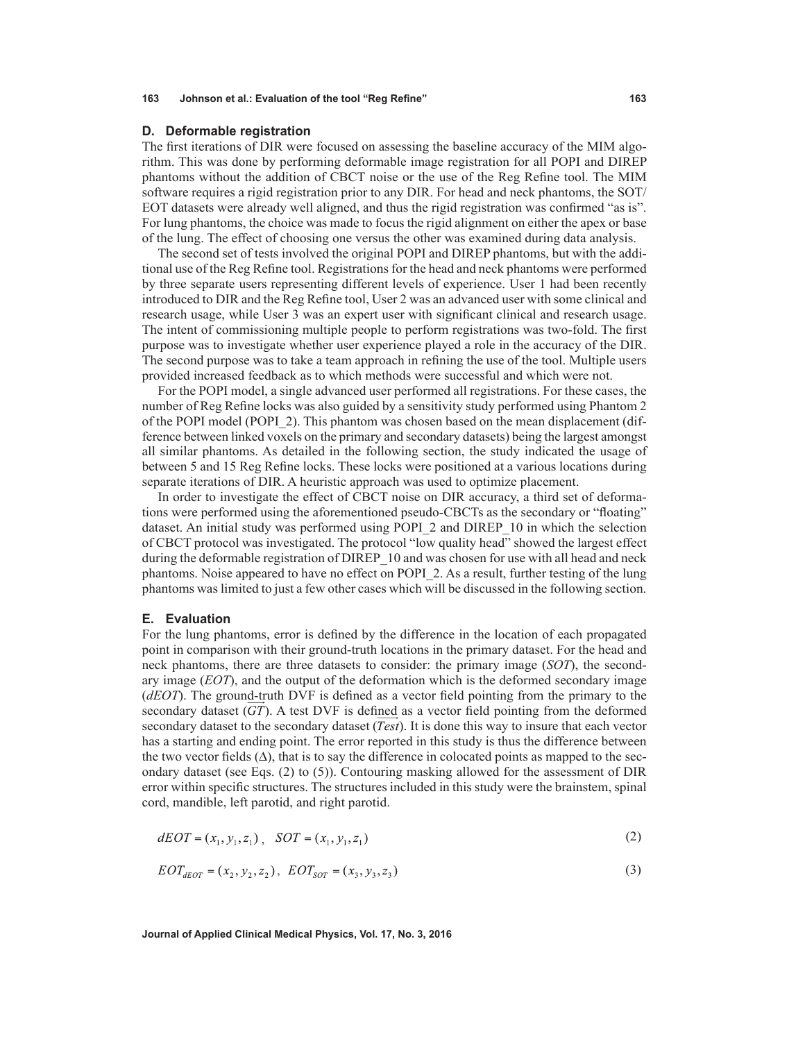## **D. Deformable registration**

The first iterations of DIR were focused on assessing the baseline accuracy of the MIM algorithm. This was done by performing deformable image registration for all POPI and DIREP phantoms without the addition of CBCT noise or the use of the Reg Refine tool. The MIM software requires a rigid registration prior to any DIR. For head and neck phantoms, the SOT/ EOT datasets were already well aligned, and thus the rigid registration was confirmed "as is". For lung phantoms, the choice was made to focus the rigid alignment on either the apex or base of the lung. The effect of choosing one versus the other was examined during data analysis.

The second set of tests involved the original POPI and DIREP phantoms, but with the additional use of the Reg Refine tool. Registrations for the head and neck phantoms were performed by three separate users representing different levels of experience. User 1 had been recently introduced to DIR and the Reg Refine tool, User 2 was an advanced user with some clinical and research usage, while User 3 was an expert user with significant clinical and research usage. The intent of commissioning multiple people to perform registrations was two-fold. The first purpose was to investigate whether user experience played a role in the accuracy of the DIR. The second purpose was to take a team approach in refining the use of the tool. Multiple users provided increased feedback as to which methods were successful and which were not.

For the POPI model, a single advanced user performed all registrations. For these cases, the number of Reg Refine locks was also guided by a sensitivity study performed using Phantom 2 of the POPI model (POPI\_2). This phantom was chosen based on the mean displacement (difference between linked voxels on the primary and secondary datasets) being the largest amongst all similar phantoms. As detailed in the following section, the study indicated the usage of between 5 and 15 Reg Refine locks. These locks were positioned at a various locations during separate iterations of DIR. A heuristic approach was used to optimize placement.

In order to investigate the effect of CBCT noise on DIR accuracy, a third set of deformations were performed using the aforementioned pseudo-CBCTs as the secondary or "floating" dataset. An initial study was performed using POPI\_2 and DIREP\_10 in which the selection of CBCT protocol was investigated. The protocol "low quality head" showed the largest effect during the deformable registration of DIREP 10 and was chosen for use with all head and neck phantoms. Noise appeared to have no effect on POPI\_2. As a result, further testing of the lung phantoms was limited to just a few other cases which will be discussed in the following section.

## **E. Evaluation**

For the lung phantoms, error is defined by the difference in the location of each propagated point in comparison with their ground-truth locations in the primary dataset. For the head and neck phantoms, there are three datasets to consider: the primary image (*SOT*), the secondary image (*EOT*), and the output of the deformation which is the deformed secondary image (*dEOT*). The ground-truth DVF is defined as a vector field pointing from the primary to the secondary dataset  $(GT)$ . A test DVF is defined as a vector field pointing from the deformed secondary dataset to the secondary dataset ( $Test$ ). It is done this way to insure that each vector has a starting and ending point. The error reported in this study is thus the difference between the two vector fields  $(\Delta)$ , that is to say the difference in colocated points as mapped to the secondary dataset (see Eqs. (2) to (5)). Contouring masking allowed for the assessment of DIR error within specific structures. The structures included in this study were the brainstem, spinal cord, mandible, left parotid, and right parotid.

$$
dEOT = (x_1, y_1, z_1), \quad SOT = (x_1, y_1, z_1)
$$
 (2)

$$
EOT_{dEOT} = (x_2, y_2, z_2), \ EOT_{SOT} = (x_3, y_3, z_3)
$$
 (3)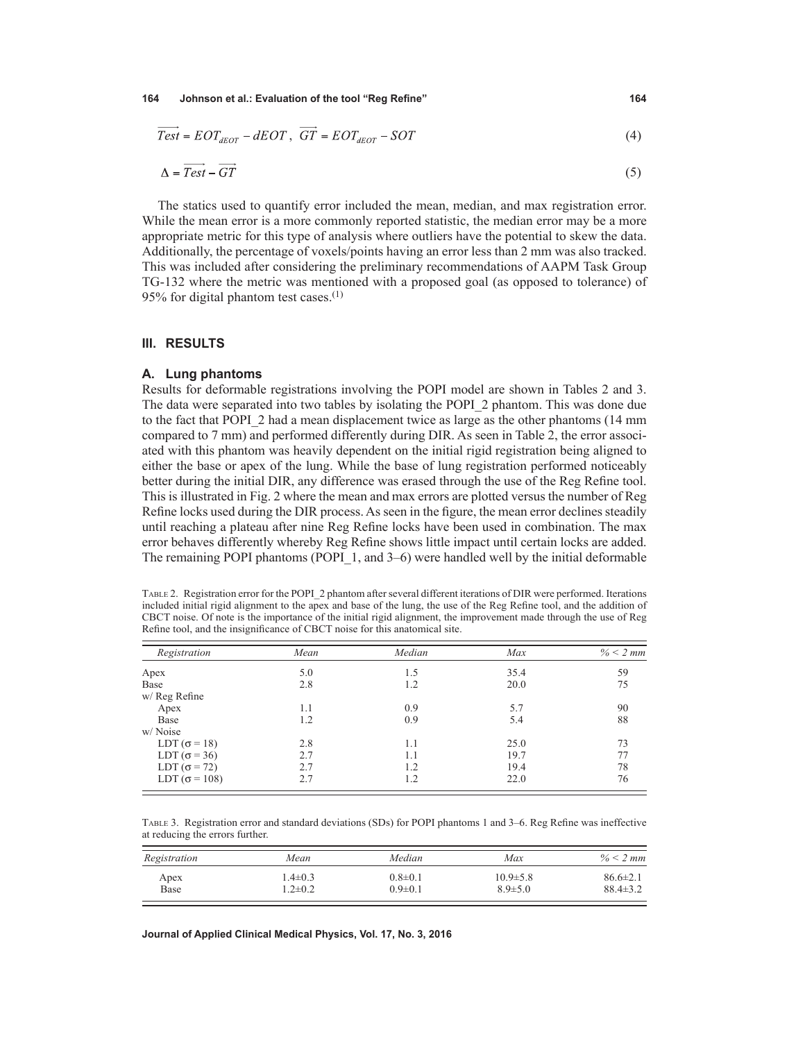$$
\overrightarrow{Test} = EOT_{dEOT} - dEOT, \quad \overrightarrow{GT} = EOT_{dEOT} - SOT \tag{4}
$$

$$
\Delta = \overrightarrow{Test} - \overrightarrow{GT} \tag{5}
$$

The statics used to quantify error included the mean, median, and max registration error. While the mean error is a more commonly reported statistic, the median error may be a more appropriate metric for this type of analysis where outliers have the potential to skew the data. Additionally, the percentage of voxels/points having an error less than 2 mm was also tracked. This was included after considering the preliminary recommendations of AAPM Task Group TG-132 where the metric was mentioned with a proposed goal (as opposed to tolerance) of 95% for digital phantom test cases.(1)

## **III. RESULTS**

## **A. Lung phantoms**

Results for deformable registrations involving the POPI model are shown in Tables 2 and 3. The data were separated into two tables by isolating the POPI\_2 phantom. This was done due to the fact that POPI 2 had a mean displacement twice as large as the other phantoms (14 mm compared to 7 mm) and performed differently during DIR. As seen in Table 2, the error associated with this phantom was heavily dependent on the initial rigid registration being aligned to either the base or apex of the lung. While the base of lung registration performed noticeably better during the initial DIR, any difference was erased through the use of the Reg Refine tool. This is illustrated in Fig. 2 where the mean and max errors are plotted versus the number of Reg Refine locks used during the DIR process. As seen in the figure, the mean error declines steadily until reaching a plateau after nine Reg Refine locks have been used in combination. The max error behaves differently whereby Reg Refine shows little impact until certain locks are added. The remaining POPI phantoms (POPI 1, and 3–6) were handled well by the initial deformable

Table 2. Registration error for the POPI\_2 phantom after several different iterations of DIR were performed. Iterations included initial rigid alignment to the apex and base of the lung, the use of the Reg Refine tool, and the addition of CBCT noise. Of note is the importance of the initial rigid alignment, the improvement made through the use of Reg Refine tool, and the insignificance of CBCT noise for this anatomical site.

| Registration          | Mean | Median | Max  | % < 2 mm |
|-----------------------|------|--------|------|----------|
| Apex                  | 5.0  | 1.5    | 35.4 | 59       |
| Base                  | 2.8  | 1.2    | 20.0 | 75       |
| w/ Reg Refine         |      |        |      |          |
| Apex                  | 1.1  | 0.9    | 5.7  | 90       |
| Base                  | 1.2  | 0.9    | 5.4  | 88       |
| w/Noise               |      |        |      |          |
| LDT ( $\sigma$ = 18)  | 2.8  | 1.1    | 25.0 | 73       |
| LDT ( $\sigma$ = 36)  | 2.7  | 1.1    | 19.7 | 77       |
| LDT ( $\sigma$ = 72)  | 2.7  | 1.2    | 19.4 | 78       |
| LDT ( $\sigma$ = 108) | 2.7  | 1.2    | 22.0 | 76       |

| TABLE 3. Registration error and standard deviations (SDs) for POPI phantoms 1 and 3–6. Reg Refine was ineffective |  |  |
|-------------------------------------------------------------------------------------------------------------------|--|--|
| at reducing the errors further.                                                                                   |  |  |

| Registration | Mean          | Median        | Max            | % < 2 mm       |
|--------------|---------------|---------------|----------------|----------------|
| Apex         | $-4\pm 0.3$   | $0.8 \pm 0.1$ | $10.9 \pm 5.8$ | $86.6\pm2.1$   |
| Base         | $1.2 \pm 0.2$ | $0.9 \pm 0.1$ | $8.9 \pm 5.0$  | $88.4 \pm 3.2$ |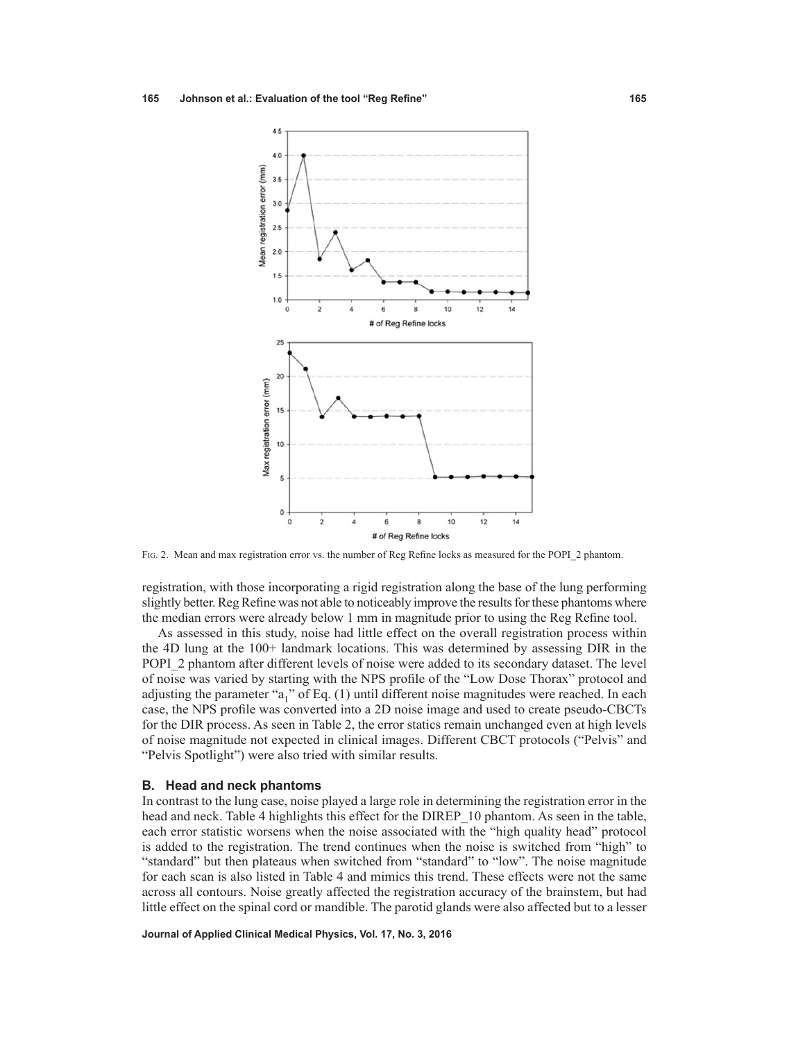

Fig. 2. Mean and max registration error vs. the number of Reg Refine locks as measured for the POPI\_2 phantom.

registration, with those incorporating a rigid registration along the base of the lung performing slightly better. Reg Refine was not able to noticeably improve the results for these phantoms where the median errors were already below 1 mm in magnitude prior to using the Reg Refine tool.

As assessed in this study, noise had little effect on the overall registration process within the 4D lung at the 100+ landmark locations. This was determined by assessing DIR in the POPI\_2 phantom after different levels of noise were added to its secondary dataset. The level of noise was varied by starting with the NPS profile of the "Low Dose Thorax" protocol and adjusting the parameter " $a_1$ " of Eq. (1) until different noise magnitudes were reached. In each case, the NPS profile was converted into a 2D noise image and used to create pseudo-CBCTs for the DIR process. As seen in Table 2, the error statics remain unchanged even at high levels of noise magnitude not expected in clinical images. Different CBCT protocols ("Pelvis" and "Pelvis Spotlight") were also tried with similar results.

#### **B. Head and neck phantoms**

In contrast to the lung case, noise played a large role in determining the registration error in the head and neck. Table 4 highlights this effect for the DIREP\_10 phantom. As seen in the table, each error statistic worsens when the noise associated with the "high quality head" protocol is added to the registration. The trend continues when the noise is switched from "high" to "standard" but then plateaus when switched from "standard" to "low". The noise magnitude for each scan is also listed in Table 4 and mimics this trend. These effects were not the same across all contours. Noise greatly affected the registration accuracy of the brainstem, but had little effect on the spinal cord or mandible. The parotid glands were also affected but to a lesser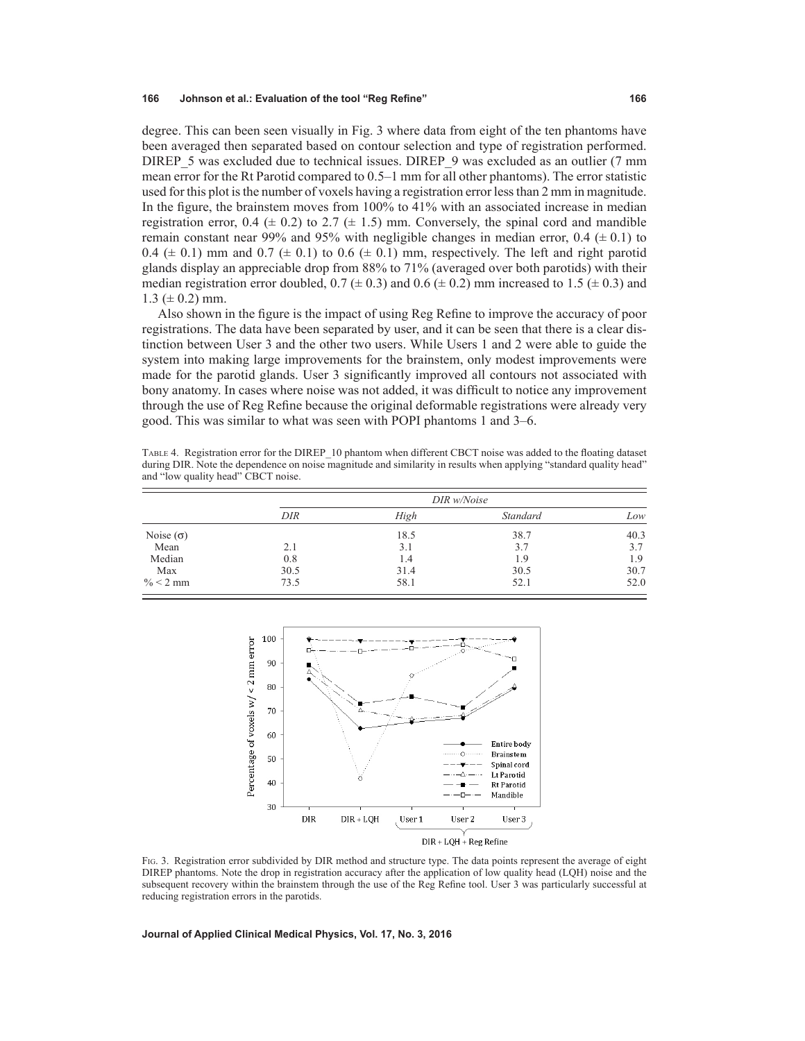degree. This can been seen visually in Fig. 3 where data from eight of the ten phantoms have been averaged then separated based on contour selection and type of registration performed. DIREP 5 was excluded due to technical issues. DIREP 9 was excluded as an outlier (7 mm mean error for the Rt Parotid compared to 0.5–1 mm for all other phantoms). The error statistic used for this plot is the number of voxels having a registration error less than 2 mm in magnitude. In the figure, the brainstem moves from 100% to 41% with an associated increase in median registration error,  $0.4 \pm 0.2$ ) to  $2.7 \pm 1.5$ ) mm. Conversely, the spinal cord and mandible remain constant near 99% and 95% with negligible changes in median error,  $0.4 \ (\pm 0.1)$  to 0.4 ( $\pm$  0.1) mm and 0.7 ( $\pm$  0.1) to 0.6 ( $\pm$  0.1) mm, respectively. The left and right parotid glands display an appreciable drop from 88% to 71% (averaged over both parotids) with their median registration error doubled,  $0.7 (\pm 0.3)$  and  $0.6 (\pm 0.2)$  mm increased to 1.5 ( $\pm$  0.3) and  $1.3 \ (\pm 0.2) \text{ mm}$ .

Also shown in the figure is the impact of using Reg Refine to improve the accuracy of poor registrations. The data have been separated by user, and it can be seen that there is a clear distinction between User 3 and the other two users. While Users 1 and 2 were able to guide the system into making large improvements for the brainstem, only modest improvements were made for the parotid glands. User 3 significantly improved all contours not associated with bony anatomy. In cases where noise was not added, it was difficult to notice any improvement through the use of Reg Refine because the original deformable registrations were already very good. This was similar to what was seen with POPI phantoms 1 and 3–6.

Table 4. Registration error for the DIREP\_10 phantom when different CBCT noise was added to the floating dataset during DIR. Note the dependence on noise magnitude and similarity in results when applying "standard quality head" and "low quality head" CBCT noise.

|                  | DIR w/Noise |      |          |      |
|------------------|-------------|------|----------|------|
|                  | <b>DIR</b>  | High | Standard | Low  |
| Noise $(\sigma)$ |             | 18.5 | 38.7     | 40.3 |
| Mean             | 2.1         | 3.1  | 3.7      | 3.7  |
| Median           | 0.8         | 1.4  | 1.9      | 1.9  |
| Max              | 30.5        | 31.4 | 30.5     | 30.7 |
| $\% < 2$ mm      | 73.5        | 58.1 | 52.1     | 52.0 |



FIG. 3. Registration error subdivided by DIR method and structure type. The data points represent the average of eight DIREP phantoms. Note the drop in registration accuracy after the application of low quality head (LQH) noise and the subsequent recovery within the brainstem through the use of the Reg Refine tool. User 3 was particularly successful at reducing registration errors in the parotids.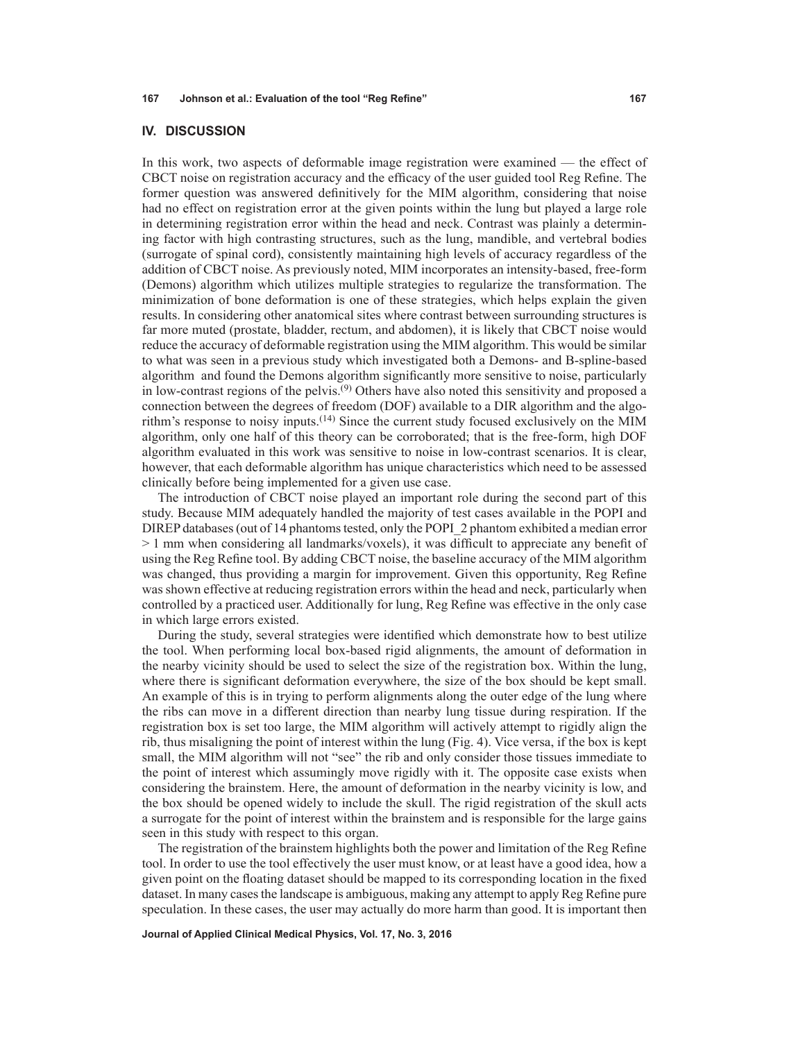# **IV. DISCUSSION**

In this work, two aspects of deformable image registration were examined — the effect of CBCT noise on registration accuracy and the efficacy of the user guided tool Reg Refine. The former question was answered definitively for the MIM algorithm, considering that noise had no effect on registration error at the given points within the lung but played a large role in determining registration error within the head and neck. Contrast was plainly a determining factor with high contrasting structures, such as the lung, mandible, and vertebral bodies (surrogate of spinal cord), consistently maintaining high levels of accuracy regardless of the addition of CBCT noise. As previously noted, MIM incorporates an intensity-based, free-form (Demons) algorithm which utilizes multiple strategies to regularize the transformation. The minimization of bone deformation is one of these strategies, which helps explain the given results. In considering other anatomical sites where contrast between surrounding structures is far more muted (prostate, bladder, rectum, and abdomen), it is likely that CBCT noise would reduce the accuracy of deformable registration using the MIM algorithm. This would be similar to what was seen in a previous study which investigated both a Demons- and B-spline-based algorithm and found the Demons algorithm significantly more sensitive to noise, particularly in low-contrast regions of the pelvis.(9) Others have also noted this sensitivity and proposed a connection between the degrees of freedom (DOF) available to a DIR algorithm and the algorithm's response to noisy inputs.<sup> $(14)$ </sup> Since the current study focused exclusively on the MIM algorithm, only one half of this theory can be corroborated; that is the free-form, high DOF algorithm evaluated in this work was sensitive to noise in low-contrast scenarios. It is clear, however, that each deformable algorithm has unique characteristics which need to be assessed clinically before being implemented for a given use case.

The introduction of CBCT noise played an important role during the second part of this study. Because MIM adequately handled the majority of test cases available in the POPI and DIREP databases (out of 14 phantoms tested, only the POPI\_2 phantom exhibited a median error > 1 mm when considering all landmarks/voxels), it was difficult to appreciate any benefit of using the Reg Refine tool. By adding CBCT noise, the baseline accuracy of the MIM algorithm was changed, thus providing a margin for improvement. Given this opportunity, Reg Refine was shown effective at reducing registration errors within the head and neck, particularly when controlled by a practiced user. Additionally for lung, Reg Refine was effective in the only case in which large errors existed.

During the study, several strategies were identified which demonstrate how to best utilize the tool. When performing local box-based rigid alignments, the amount of deformation in the nearby vicinity should be used to select the size of the registration box. Within the lung, where there is significant deformation everywhere, the size of the box should be kept small. An example of this is in trying to perform alignments along the outer edge of the lung where the ribs can move in a different direction than nearby lung tissue during respiration. If the registration box is set too large, the MIM algorithm will actively attempt to rigidly align the rib, thus misaligning the point of interest within the lung (Fig. 4). Vice versa, if the box is kept small, the MIM algorithm will not "see" the rib and only consider those tissues immediate to the point of interest which assumingly move rigidly with it. The opposite case exists when considering the brainstem. Here, the amount of deformation in the nearby vicinity is low, and the box should be opened widely to include the skull. The rigid registration of the skull acts a surrogate for the point of interest within the brainstem and is responsible for the large gains seen in this study with respect to this organ.

The registration of the brainstem highlights both the power and limitation of the Reg Refine tool. In order to use the tool effectively the user must know, or at least have a good idea, how a given point on the floating dataset should be mapped to its corresponding location in the fixed dataset. In many cases the landscape is ambiguous, making any attempt to apply Reg Refine pure speculation. In these cases, the user may actually do more harm than good. It is important then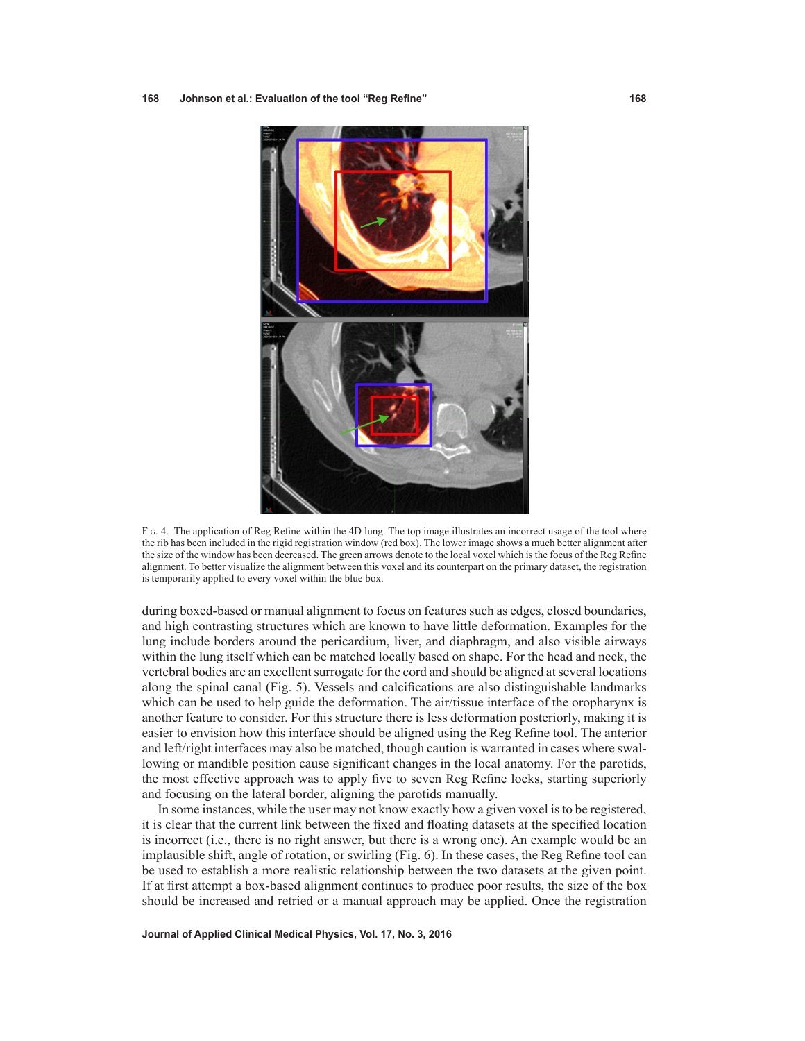

Fig. 4. The application of Reg Refine within the 4D lung. The top image illustrates an incorrect usage of the tool where the rib has been included in the rigid registration window (red box). The lower image shows a much better alignment after the size of the window has been decreased. The green arrows denote to the local voxel which is the focus of the Reg Refine alignment. To better visualize the alignment between this voxel and its counterpart on the primary dataset, the registration is temporarily applied to every voxel within the blue box.

during boxed-based or manual alignment to focus on features such as edges, closed boundaries, and high contrasting structures which are known to have little deformation. Examples for the lung include borders around the pericardium, liver, and diaphragm, and also visible airways within the lung itself which can be matched locally based on shape. For the head and neck, the vertebral bodies are an excellent surrogate for the cord and should be aligned at several locations along the spinal canal (Fig. 5). Vessels and calcifications are also distinguishable landmarks which can be used to help guide the deformation. The air/tissue interface of the oropharynx is another feature to consider. For this structure there is less deformation posteriorly, making it is easier to envision how this interface should be aligned using the Reg Refine tool. The anterior and left/right interfaces may also be matched, though caution is warranted in cases where swallowing or mandible position cause significant changes in the local anatomy. For the parotids, the most effective approach was to apply five to seven Reg Refine locks, starting superiorly and focusing on the lateral border, aligning the parotids manually.

In some instances, while the user may not know exactly how a given voxel is to be registered, it is clear that the current link between the fixed and floating datasets at the specified location is incorrect (i.e., there is no right answer, but there is a wrong one). An example would be an implausible shift, angle of rotation, or swirling (Fig. 6). In these cases, the Reg Refine tool can be used to establish a more realistic relationship between the two datasets at the given point. If at first attempt a box-based alignment continues to produce poor results, the size of the box should be increased and retried or a manual approach may be applied. Once the registration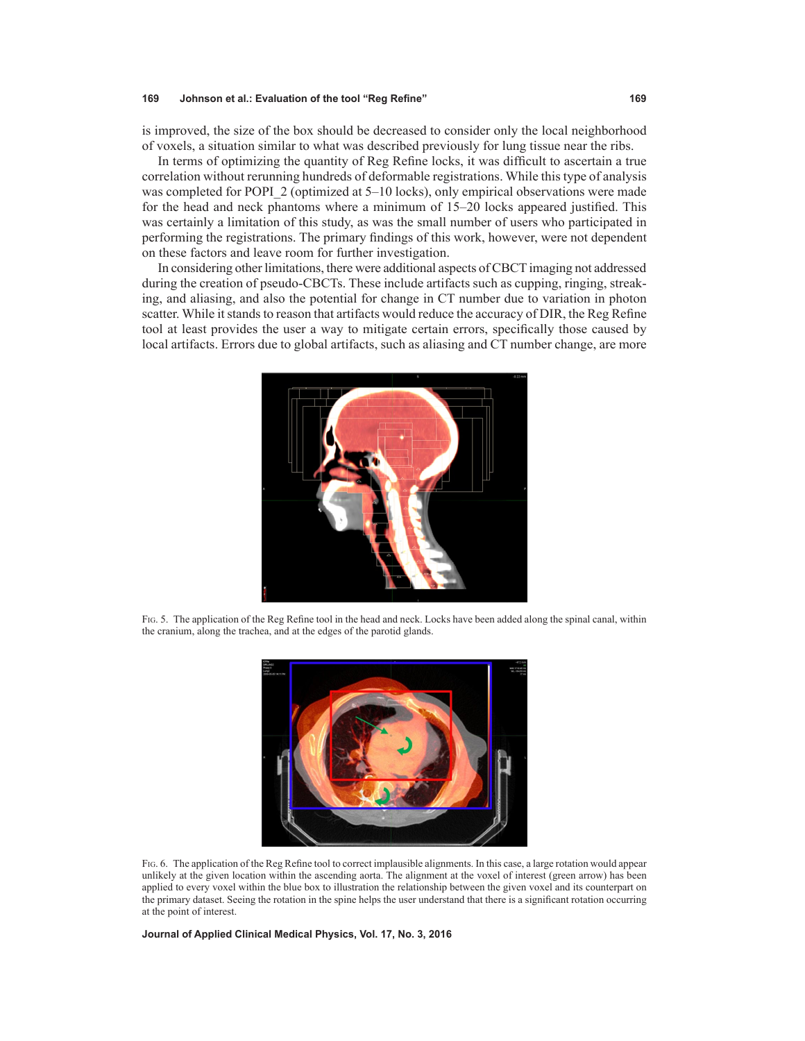is improved, the size of the box should be decreased to consider only the local neighborhood of voxels, a situation similar to what was described previously for lung tissue near the ribs.

In terms of optimizing the quantity of Reg Refine locks, it was difficult to ascertain a true correlation without rerunning hundreds of deformable registrations. While this type of analysis was completed for POPI\_2 (optimized at 5–10 locks), only empirical observations were made for the head and neck phantoms where a minimum of 15–20 locks appeared justified. This was certainly a limitation of this study, as was the small number of users who participated in performing the registrations. The primary findings of this work, however, were not dependent on these factors and leave room for further investigation.

In considering other limitations, there were additional aspects of CBCT imaging not addressed during the creation of pseudo-CBCTs. These include artifacts such as cupping, ringing, streaking, and aliasing, and also the potential for change in CT number due to variation in photon scatter. While it stands to reason that artifacts would reduce the accuracy of DIR, the Reg Refine tool at least provides the user a way to mitigate certain errors, specifically those caused by local artifacts. Errors due to global artifacts, such as aliasing and CT number change, are more



Fig. 5. The application of the Reg Refine tool in the head and neck. Locks have been added along the spinal canal, within the cranium, along the trachea, and at the edges of the parotid glands.



Fig. 6. The application of the Reg Refine tool to correct implausible alignments. In this case, a large rotation would appear unlikely at the given location within the ascending aorta. The alignment at the voxel of interest (green arrow) has been applied to every voxel within the blue box to illustration the relationship between the given voxel and its counterpart on the primary dataset. Seeing the rotation in the spine helps the user understand that there is a significant rotation occurring at the point of interest.